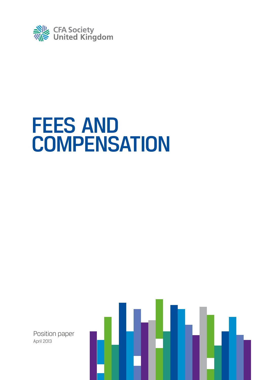

# **FEES AND COMPENSATION**

Position paper April 2013

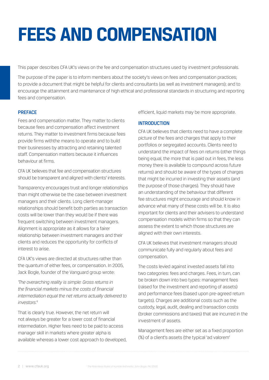# **fees and compensation**

This paper describes CFA UK's views on the fee and compensation structures used by investment professionals.

The purpose of the paper is to inform members about the society's views on fees and compensation practices; to provide a document that might be helpful for clients and consultants (as well as investment managers); and to encourage the attainment and maintenance of high ethical and professional standards in structuring and reporting fees and compensation.

# **PREFACE**

Fees and compensation matter. They matter to clients because fees and compensation affect investment returns. They matter to investment firms because fees provide firms withthe means to operate and to build their businesses by attracting and retaining talented staff. Compensation matters because it influences behaviour at firms.

CFA UK believes that fee and compensation structures should be transparent and aligned with clients' interests.

Transparency encourages trust and longer relationships than might otherwise be the case between investment managers and their clients. Long client-manager relationships should benefit both parties as transaction costs will be lower than they would be if there was frequent switching between investment managers. Alignment is appropriate as it allows for a fairer relationship between investment managers and their clients and reduces the opportunity for conflicts of interest to arise.

CFA UK's views are directed at structures rather than the quantum of either fees, or compensation. In 2005, Jack Bogle, founder of the Vanguard group wrote:

*'The overarching reality is simple: Gross returns in the financial markets minus the costs of financial intermediation equal the net returns actually delivered to investors.'1*

That is clearly true. However, the net return will not always be greater for a lower cost of financial intermediation. Higher fees need to be paid to access manager skill in markets where greater alpha is available whereas a lower cost approach to developed, efficient, liquid markets may be more appropriate.

# **INTRODUCTION**

CFA UK believes that clients need to have a complete picture of the fees and charges that apply to their portfolios or segregated accounts. Clients need to understand the impact of fees on returns (other things being equal, the more that is paid out in fees, the less money there is available to compound across future returns) and should be aware of the types of charges that might be incurred in investing their assets (and the purpose of those charges). They should have an understanding of the behaviour that different fee structures might encourage and should know in advance what many of these costs will be. It is also important for clients and their advisers to understand compensation models within firms so that they can assess the extent to which those structures are aligned with their own interests.

CFA UK believes that investment managers should communicate fully and regularly about fees and compensation.

The costs levied against invested assets fall into two categories: fees and charges. Fees, in turn, can be broken down into two types: management fees (raised for the investment and reporting of assets) and performance fees (based upon pre-agreed return targets). Charges are additional costs such as the custody, legal, audit, dealing and transaction costs (broker commissions and taxes) that are incurred in the investment of assets.

Management fees are either set as a fixed proportion (%) of a client's assets (the typical 'ad valorem'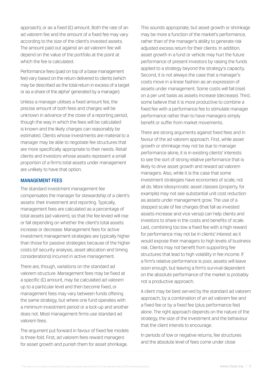approach), or as a fixed (£) amount. Both the rate of an ad valorem fee and the amount of a fixed fee may vary according to the size of the client's invested assets. The amount paid out against an ad valorem fee will depend on the value of the portfolio at the point at which the fee is calculated.

Performance fees (paid on top of a base management fee) vary based on the return delivered to clients (which may be described as the total return in excess of a target or as a share of the alpha<sup>2</sup> generated by a manager).

Unless a manager utilises a fixed amount fee, the precise amount of both fees and charges will be unknown in advance of the close of a reporting period, though the way in which the fees will be calculated is known and the likely charges can reasonably be estimated. Clients whose investments are material to a manager may be able to negotiate fee structures that are more specifically appropriate to their needs. Retail clients and investors whose assets represent a small proportion of a firm's total assets under management are unlikely to have that option.

#### Management fees

The standard investment management fee compensates the manager for stewardship of a client's assets: their investment and reporting. Typically, management fees are calculated as a percentage of total assets (ad valorem), so that the fee levied will rise or fall depending on whether the client's total assets increase or decrease. Management fees for active investment management strategies are typically higher than those for passive strategies because of the higher costs (of security analysis, asset allocation and timing considerations) incurred in active management.

There are, though, variations on the standard ad valorem structure. Management fees may be fixed at a specific (£) amount, may be calculated ad valorem up to a particular level and then become fixed, or management fees may vary between funds offering the same strategy, but where one fund operates with a minimum investment period or a lock-up and another does not. Most management firms use standard ad valorem fees.

The argument put forward in favour of fixed fee models is three-fold. First, ad valorem fees reward managers for asset growth and punish them for asset shrinkage.

This sounds appropriate, but asset growth or shrinkage may be more a function of the market's performance, rather than of the manager's ability to generate risk adjusted excess return for their clients. In addition, asset growth in a fund or vehicle may hurt the future performance of present investors by raising the funds applied to a strategy beyond the strategy's capacity. Second, it is not always the case that a manager's costs move in a linear fashion as an expression of assets under management. Some costs will fall (rise) on a per unit basis as assets increase (decrease). Third, some believe that it is more productive to combine a fixed fee with a performance fee to stimulate manager performance rather than to have managers simply benefit or suffer from market movements.

There are strong arguments against fixed fees and in favour of the ad valorem approach. First, while asset growth or shrinkage may not be due to manager performance alone, it is in existing clients' interests to see the sort of strong relative performance that is likely to drive asset growth and reward ad valorem managers. Also, while it is the case that some investment strategies have economies of scale, not all do. More idiosyncratic asset classes (property, for example) may not see substantial unit cost reduction as assets under management grow. The use of a stepped scale of fee charges (that fall as invested assets increase and vice versa) can help clients and investors to share in the costs and benefits of scale. Last, combining too low a fixed fee with a high reward for performance may not be in clients' interest as it would expose their managers to high levels of business risk. Clients may not benefit from supporting fee structures that lead to high volatility in fee income. If a firm's relative performance is poor, assets will leave soon enough, but leaving a firm's survival dependent on the absolute performance of the market is probably not a productive approach.

A client may be best served by the standard ad valorem approach, by a combination of an ad valorem fee and a fixed fee or by a fixed fee (plus performance fee) alone. The right approach depends on the nature of the strategy, the size of the investment and the behaviour that the client intends to encourage.

In periods of low or negative returns, fee structures and the absolute level of fees come under close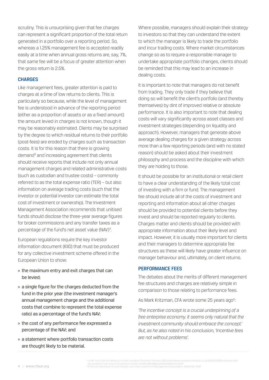scrutiny. This is unsurprising given that fee charges can represent a significant proportion of the total return generated in a portfolio over a reporting period. So, whereas a 1.25% management fee is accepted readily easily at a time when annual gross returns are, say, 7%, that same fee will be a focus of greater attention when the gross return is 2.5%.

### **CHARGES**

Like management fees, greater attention is paid to charges at a time of low returns to clients. This is particularly so because, while the level of management fee is understood in advance of the reporting period (either as a proportion of assets or as a fixed amount) the amount levied in charges is not known, though it may be reasonably estimated. Clients may be surprised by the degree to which residual returns to their portfolio (post-fees) are eroded by charges such as transaction costs. It is for this reason that there is growing demand<sup>3</sup> and increasing agreement that clients should receive reports that include not only annual management charges and related administrative costs (such as custodian and trustee costs) – commonly referred to as the total expense ratio (TER) – but also information on average trading costs (such that the investor or potential investor can estimate the total cost of investment or ownership). The Investment Management Association recommends that unitised funds should disclose the three-year average figures for broker commissions and any transfer taxes as a percentage of the fund's net asset value (NAV)<sup>4</sup>.

European regulations require the key investor information document (KIID) that must be produced for any collective investment scheme offered in the European Union to show:

- » the maximum entry and exit charges that can be levied;
- » a single figure for the charges deducted from the fund in the prior year (the investment manager's annual management charge and the additional costs that combine to represent the total expense ratio) as a percentage of the fund's NAV;
- » the cost of any performance fee expressed a percentage of the NAV; and
- » a statement where portfolio transaction costs are thought likely to be material.

Where possible, managers should explain their strategy to investors so that they can understand the extent to which the manager is likely to trade the portfolio and incur trading costs. Where market circumstances change so as to require a responsible manager to undertake appropriate portfolio changes, clients should be reminded that this may lead to an increase in dealing costs.

It is important to note that managers do not benefit from trading. They only trade if they believe that doing so will benefit the client's portfolio (and thereby themselves) by dint of improved relative or absolute performance. It is also important to note that dealing costs will vary significantly across asset classes and investment strategies (depending on liquidity and approach). However, managers that generate above average dealing charges for a given strategy across more than a few reporting periods (and with no stated reason) should be asked about their investment philosophy and process and the discipline with which they are holding to those.

It should be possible for an institutional or retail client to have a clear understanding of the likely total cost of investing with a firm or fund. The management fee should include all of the costs of investment and reporting and information about all other charges should be provided to potential clients before they invest and should be reported regularly to clients. Charges matter and clients should be provided with appropriate information about their likely level and impact. However, it is usually more important for clients and their managers to determine appropriate fee structures as these will likely have greater influence on manager behaviour and, ultimately, on client returns.

#### Performance fees

The debates about the merits of different management fee structures and charges are relatively simple in comparison to those relating to performance fees.

As Mark Kritzman, CFA wrote some 25 years ago<sup>5</sup>:

*'The incentive concept is a crucial underpinning of a free enterprise economy. It seems only natural that the investment community should embrace the concept.' But, as he also noted in his conclusion, 'Incentive fees are not without problems'.*

<sup>3</sup> i.e.The True Cost of Investing in Funds, Investors Chronicle, February 2012 (http://www.investorschronicle.co.uk/2012/02/07/funds-and-etfs/<br>\_isa-funds/the-true-cost-of-investing-in-funds-oUc8VLh2BcMBacjws7u9UM/article. *4 Enhanced disclosure of fund charges and costs, Investment Management Association, September 2012*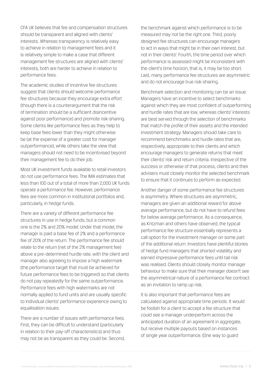CFA UK believes that fee and compensation structures should be transparent and aligned with clients' interests. Whereas transparency is relatively easy to achieve in relation to management fees and it is relatively simple to make a case that different management fee structures are aligned with clients' interests, both are harder to achieve in relation to performance fees.

The academic studies of incentive fee structures suggest that clients should welcome performance fee structures because they encourage extra effort (though there is a counterargument that the risk of termination should be a sufficient disincentive against poor performance) and promote risk-sharing. Some clients like performance fees as they help to keep base fees lower than they might otherwise be (at the expense of a greater cost for manager outperformance), while others take the view that managers should not need to be incentivised beyond their management fee to do their job.

Most UK investment funds available to retail investors do not use performance fees. The IMA estimates that less than 100 out of a total of more than 2,000 UK funds operate a performance fee. However, performance fees are more common in institutional portfolios and, particularly, in hedge funds.

There are a variety of different performance fee structures in use in hedge funds, but a common one is the 2% and 20% model. Under that model, the manager is paid a base fee of 2% and a performance fee of 20% of the return. The performance fee should relate to the return (net of the 2% management fee) above a pre-determined hurdle rate, with the client and manager also agreeing to impose a high watermark (the performance target that must be achieved for future performance fees to be triggered) so that clients do not pay repeatedly for the same outperformance. Performance fees with high watermarks are not normally applied to fund units and are usually specific to individual clients' performance experience owing to equalisation issues.

There are a number of issues with performance fees. First, they can be difficult to understand (particularly in relation to their pay-off characteristics) and thus may not be as transparent as they could be. Second, the benchmark against which performance is to be measured may not be the right one. Third, poorly designed fee structures can encourage managers to act in ways that might be in their own interest, but not in their clients'. Fourth, the time period over which performance is assessed might be inconsistent with the client's time horizon, that is, it may be too short. Last, many performance fee structures are asymmetric and do not encourage true risk-sharing.

Benchmark selection and monitoring can be an issue. Managers have an incentive to select benchmarks against which they are most confident of outperforming and hurdle rates that are low, whereas clients' interests are best served through the selection of benchmarks that match the profile of their assets and the intended investment strategy. Managers should take care to recommend benchmarks and hurdle rates that are, respectively, appropriate to their clients and which encourage managers to generate returns that meet their clients' risk and return criteria. Irrespective of the success or otherwise of that process, clients and their advisers must closely monitor the selected benchmark to ensure that it continues to perform as expected.

Another danger of some performance fee structures is asymmetry. Where structures are asymmetric, managers are given an additional reward for above average performance, but do not have to refund fees for below average performance. As a consequence, as Kritzman and others have observed, the typical performance fee structure essentially represents a call option for the investment manager on some part of the additional return. Investors have plentiful stories of hedge fund managers that shorted volatility and earned impressive performance fees until tail risk was realised. Clients should closely monitor manager behaviour to make sure that their manager doesn't see the asymmetrical nature of a performance fee contract as an invitation to ramp up risk.

It is also important that performance fees are calculated against appropriate time periods. It would be foolish for a client to accept a fee structure that could see a manager underperform across the anticipated duration of an agreement in aggregate, but receive multiple payouts based on instances of single year outperformance. (One way to guard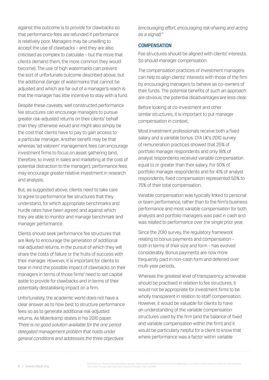against this outcome is to provide for clawbacks so that performance fees are refunded if performance is relatively poor. Managers may be unwilling to accept the use of clawbacks – and they are also criticised as complex to calculate – but the more that clients demand them, the more common they would become). The use of high watermarks can prevent the sort of unfortunate outcome described above, but the additional danger of watermarks that cannot be adjusted and which are far out of a manager's reach is that the manager has little incentive to stay with a fund.

Despite these caveats, well constructed performance fee structures can encourage managers to pursue greater risk-adjusted returns on their clients' behalf than they otherwise would and might also simply be the cost that clients have to pay to gain access to a particular manager. Another benefit may be that whereas 'ad valorem' management fees can encourage investment firms to focus on asset gathering (and, therefore, to invest in sales and marketing at the cost of potential distraction to the manager), performance fees may encourage greater relative investment in research and analysis.

But, as suggested above, clients need to take care to agree to performance fee structures that they understand, for which appropriate benchmarks and hurdle rates have been agreed and against which they are able to monitor and manage benchmark and manager performance.

Clients should seek performance fee structures that are likely to encourage the generation of additional risk-adjusted returns, in the pursuit of which they will share the costs of failure or the fruits of success with their manager. However, it is important for clients to bear in mind the possible impact of clawbacks on their managers in terms of those firms' need to set capital aside to provide for clawbacks and in terms of their potentially destabilising impact on a firm.

Unfortunately, the academic world does not have a clear answer as to how best to structure performance fees so as to generate additional risk-adjusted returns. As Molenkamp states in his 2010 paper: *'There is no good solution available for the one period delegated management problem that holds under general conditions and addresses the three objectives* 

*(encouraging effort, encouraging risk-sharing and acting as a signal).'7*

#### **COMPENSATION**

Fee structures should be aligned with clients' interests. So should manager compensation.

The compensation practices of investment managers can help to align clients' interests with those of the firm by encouraging managers to behave as co-owners of their funds. The potential benefits of such an approach are obvious; the potential disadvantages are less clear.

Before looking at co-investment and other similar structures, it is important to put manager compensation in context.

Most investment professionals receive both a fixed salary and a variable bonus. CFA UK's 2010 survey of remuneration practices showed that 25% of portfolio manager respondents and only 18% of analyst respondents received variable compensation equal to or greater than their salary. For 50% of portfolio manager respondents and for 41% of analyst respondents, fixed compensation represented 50% to 75% of their total compensation.

Variable compensation was typically linked to personal or team performance, rather than to the firm's business performance and most variable compensation for both analysts and portfolio managers was paid in cash and was related to performance over the single prior year.

Since the 2010 survey, the regulatory framework relating to bonus payments and compensation – both in terms of their size and form – has evolved considerably. Bonus payments are now more frequently paid in non-cash form and deferred over multi-year periods.

Whereas the greatest level of transparency achievable should be practised in relation to fee structures, it would not be appropriate for investment firms to be wholly transparent in relation to staff compensation. However, it would be valuable for clients to have an understanding of the variable compensation structures used by the firm (and the balance of fixed and variable compensation within the firm) and it would be particularly helpful for a client to know that where performance was a factor within variable